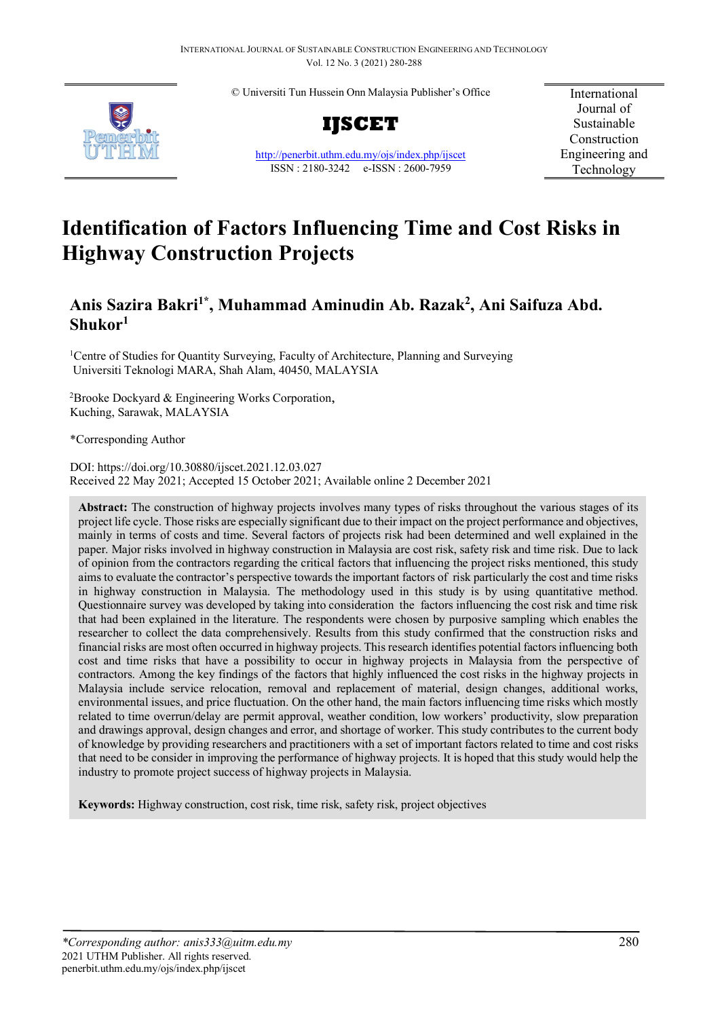© Universiti Tun Hussein Onn Malaysia Publisher's Office





<http://penerbit.uthm.edu.my/ojs/index.php/ijscet> ISSN : 2180-3242 e-ISSN : 2600-7959

International Journal of Sustainable Construction Engineering and Technology

# **Identification of Factors Influencing Time and Cost Risks in Highway Construction Projects**

# **Anis Sazira Bakri1\*, Muhammad Aminudin Ab. Razak2 , Ani Saifuza Abd. Shukor1**

<sup>1</sup>Centre of Studies for Quantity Surveying, Faculty of Architecture, Planning and Surveying Universiti Teknologi MARA, Shah Alam, 40450, MALAYSIA

<sup>2</sup> Brooke Dockyard & Engineering Works Corporation, Kuching, Sarawak, MALAYSIA

\*Corresponding Author

DOI: https://doi.org/10.30880/ijscet.2021.12.03.027 Received 22 May 2021; Accepted 15 October 2021; Available online 2 December 2021

**Abstract:** The construction of highway projects involves many types of risks throughout the various stages of its project life cycle. Those risks are especially significant due to their impact on the project performance and objectives, mainly in terms of costs and time. Several factors of projects risk had been determined and well explained in the paper. Major risks involved in highway construction in Malaysia are cost risk, safety risk and time risk. Due to lack of opinion from the contractors regarding the critical factors that influencing the project risks mentioned, this study aims to evaluate the contractor's perspective towards the important factors of risk particularly the cost and time risks in highway construction in Malaysia. The methodology used in this study is by using quantitative method. Questionnaire survey was developed by taking into consideration the factors influencing the cost risk and time risk that had been explained in the literature. The respondents were chosen by purposive sampling which enables the researcher to collect the data comprehensively. Results from this study confirmed that the construction risks and financial risks are most often occurred in highway projects. This research identifies potential factors influencing both cost and time risks that have a possibility to occur in highway projects in Malaysia from the perspective of contractors. Among the key findings of the factors that highly influenced the cost risks in the highway projects in Malaysia include service relocation, removal and replacement of material, design changes, additional works, environmental issues, and price fluctuation. On the other hand, the main factors influencing time risks which mostly related to time overrun/delay are permit approval, weather condition, low workers' productivity, slow preparation and drawings approval, design changes and error, and shortage of worker. This study contributes to the current body of knowledge by providing researchers and practitioners with a set of important factors related to time and cost risks that need to be consider in improving the performance of highway projects. It is hoped that this study would help the industry to promote project success of highway projects in Malaysia.

**Keywords:** Highway construction, cost risk, time risk, safety risk, project objectives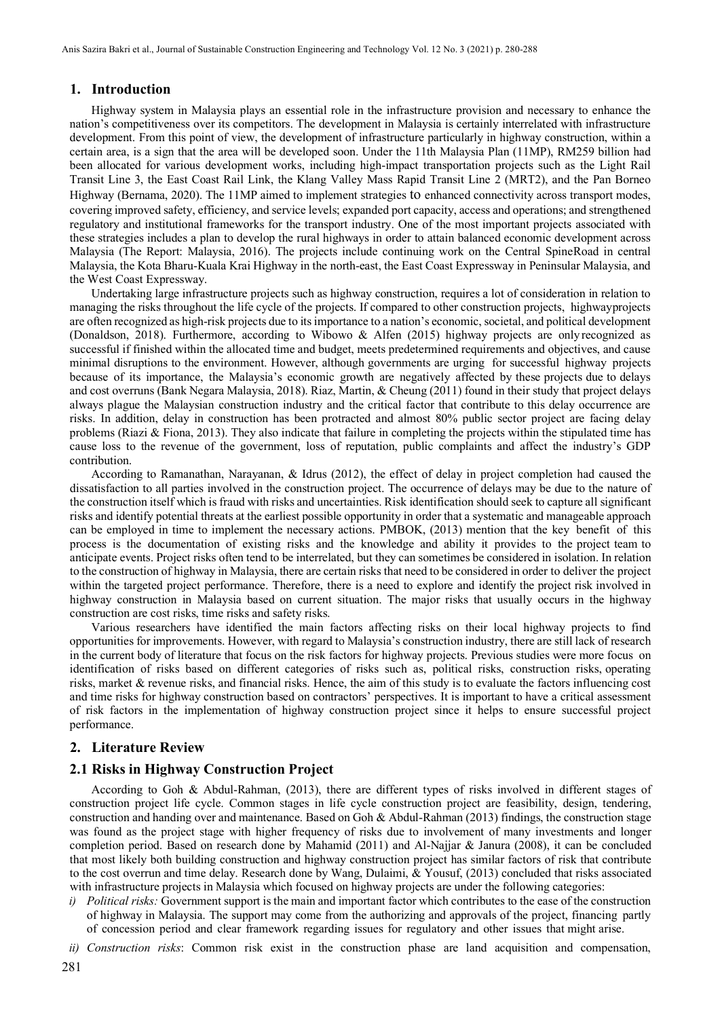#### **1. Introduction**

Highway system in Malaysia plays an essential role in the infrastructure provision and necessary to enhance the nation's competitiveness over its competitors. The development in Malaysia is certainly interrelated with infrastructure development. From this point of view, the development of infrastructure particularly in highway construction, within a certain area, is a sign that the area will be developed soon. Under the 11th Malaysia Plan (11MP), RM259 billion had been allocated for various development works, including high-impact transportation projects such as the Light Rail Transit Line 3, the East Coast Rail Link, the Klang Valley Mass Rapid Transit Line 2 (MRT2), and the Pan Borneo Highway (Bernama, 2020). The 11MP aimed to implement strategies to enhanced connectivity across transport modes, covering improved safety, efficiency, and service levels; expanded port capacity, access and operations; and strengthened regulatory and institutional frameworks for the transport industry. One of the most important projects associated with these strategies includes a plan to develop the rural highways in order to attain balanced economic development across Malaysia (The Report: Malaysia, 2016). The projects include continuing work on the Central SpineRoad in central Malaysia, the Kota Bharu-Kuala Krai Highway in the north-east, the East Coast Expressway in Peninsular Malaysia, and the West Coast Expressway.

Undertaking large infrastructure projects such as highway construction, requires a lot of consideration in relation to managing the risks throughout the life cycle of the projects. If compared to other construction projects, highwayprojects are often recognized as high-risk projects due to its importance to a nation's economic, societal, and political development (Donaldson, 2018). Furthermore, according to Wibowo & Alfen (2015) highway projects are onlyrecognized as successful if finished within the allocated time and budget, meets predetermined requirements and objectives, and cause minimal disruptions to the environment. However, although governments are urging for successful highway projects because of its importance, the Malaysia's economic growth are negatively affected by these projects due to delays and cost overruns (Bank Negara Malaysia, 2018). Riaz, Martin, & Cheung (2011) found in their study that project delays always plague the Malaysian construction industry and the critical factor that contribute to this delay occurrence are risks. In addition, delay in construction has been protracted and almost 80% public sector project are facing delay problems (Riazi & Fiona, 2013). They also indicate that failure in completing the projects within the stipulated time has cause loss to the revenue of the government, loss of reputation, public complaints and affect the industry's GDP contribution.

According to Ramanathan, Narayanan, & Idrus (2012), the effect of delay in project completion had caused the dissatisfaction to all parties involved in the construction project. The occurrence of delays may be due to the nature of the construction itself which is fraud with risks and uncertainties. Risk identification should seek to capture all significant risks and identify potential threats at the earliest possible opportunity in order that a systematic and manageable approach can be employed in time to implement the necessary actions. PMBOK, (2013) mention that the key benefit of this process is the documentation of existing risks and the knowledge and ability it provides to the project team to anticipate events. Project risks often tend to be interrelated, but they can sometimes be considered in isolation. In relation to the construction of highway in Malaysia, there are certain risks that need to be considered in order to deliver the project within the targeted project performance. Therefore, there is a need to explore and identify the project risk involved in highway construction in Malaysia based on current situation. The major risks that usually occurs in the highway construction are cost risks, time risks and safety risks.

Various researchers have identified the main factors affecting risks on their local highway projects to find opportunities for improvements. However, with regard to Malaysia's construction industry, there are still lack of research in the current body of literature that focus on the risk factors for highway projects. Previous studies were more focus on identification of risks based on different categories of risks such as, political risks, construction risks, operating risks, market & revenue risks, and financial risks. Hence, the aim of this study is to evaluate the factors influencing cost and time risks for highway construction based on contractors' perspectives. It is important to have a critical assessment of risk factors in the implementation of highway construction project since it helps to ensure successful project performance.

# **2. Literature Review**

#### **2.1 Risks in Highway Construction Project**

According to Goh & Abdul-Rahman, (2013), there are different types of risks involved in different stages of construction project life cycle. Common stages in life cycle construction project are feasibility, design, tendering, construction and handing over and maintenance. Based on Goh & Abdul-Rahman (2013) findings, the construction stage was found as the project stage with higher frequency of risks due to involvement of many investments and longer completion period. Based on research done by Mahamid (2011) and Al-Najjar & Janura (2008), it can be concluded that most likely both building construction and highway construction project has similar factors of risk that contribute to the cost overrun and time delay. Research done by Wang, Dulaimi, & Yousuf, (2013) concluded that risks associated with infrastructure projects in Malaysia which focused on highway projects are under the following categories:

- *i) Political risks:* Government support is the main and important factor which contributes to the ease of the construction of highway in Malaysia. The support may come from the authorizing and approvals of the project, financing partly of concession period and clear framework regarding issues for regulatory and other issues that might arise.
- *ii) Construction risks*: Common risk exist in the construction phase are land acquisition and compensation,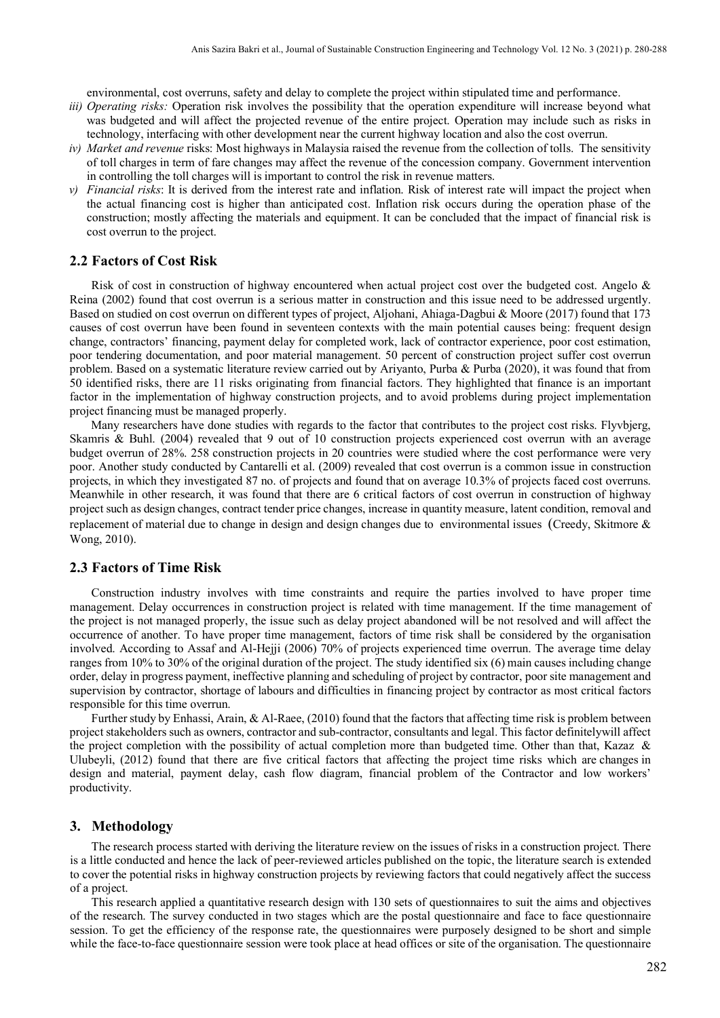environmental, cost overruns, safety and delay to complete the project within stipulated time and performance.

- *iii) Operating risks:* Operation risk involves the possibility that the operation expenditure will increase beyond what was budgeted and will affect the projected revenue of the entire project. Operation may include such as risks in technology, interfacing with other development near the current highway location and also the cost overrun.
- *iv) Market and revenue* risks: Most highways in Malaysia raised the revenue from the collection of tolls. The sensitivity of toll charges in term of fare changes may affect the revenue of the concession company. Government intervention in controlling the toll charges will is important to control the risk in revenue matters.
- *v) Financial risks*: It is derived from the interest rate and inflation. Risk of interest rate will impact the project when the actual financing cost is higher than anticipated cost. Inflation risk occurs during the operation phase of the construction; mostly affecting the materials and equipment. It can be concluded that the impact of financial risk is cost overrun to the project.

#### **2.2 Factors of Cost Risk**

Risk of cost in construction of highway encountered when actual project cost over the budgeted cost. Angelo & Reina (2002) found that cost overrun is a serious matter in construction and this issue need to be addressed urgently. Based on studied on cost overrun on different types of project, Aljohani, Ahiaga-Dagbui & Moore (2017) found that 173 causes of cost overrun have been found in seventeen contexts with the main potential causes being: frequent design change, contractors' financing, payment delay for completed work, lack of contractor experience, poor cost estimation, poor tendering documentation, and poor material management. 50 percent of construction project suffer cost overrun problem. Based on a systematic literature review carried out by Ariyanto, Purba & Purba (2020), it was found that from 50 identified risks, there are 11 risks originating from financial factors. They highlighted that finance is an important factor in the implementation of highway construction projects, and to avoid problems during project implementation project financing must be managed properly.

Many researchers have done studies with regards to the factor that contributes to the project cost risks. Flyvbjerg, Skamris & Buhl. (2004) revealed that 9 out of 10 construction projects experienced cost overrun with an average budget overrun of 28%. 258 construction projects in 20 countries were studied where the cost performance were very poor. Another study conducted by Cantarelli et al. (2009) revealed that cost overrun is a common issue in construction projects, in which they investigated 87 no. of projects and found that on average 10.3% of projects faced cost overruns. Meanwhile in other research, it was found that there are 6 critical factors of cost overrun in construction of highway project such as design changes, contract tender price changes, increase in quantity measure, latent condition, removal and replacement of material due to change in design and design changes due to environmental issues (Creedy, Skitmore & Wong, 2010).

#### **2.3 Factors of Time Risk**

Construction industry involves with time constraints and require the parties involved to have proper time management. Delay occurrences in construction project is related with time management. If the time management of the project is not managed properly, the issue such as delay project abandoned will be not resolved and will affect the occurrence of another. To have proper time management, factors of time risk shall be considered by the organisation involved. According to Assaf and Al-Hejji (2006) 70% of projects experienced time overrun. The average time delay ranges from 10% to 30% of the original duration of the project. The study identified six (6) main causes including change order, delay in progress payment, ineffective planning and scheduling of project by contractor, poor site management and supervision by contractor, shortage of labours and difficulties in financing project by contractor as most critical factors responsible for this time overrun.

Further study by Enhassi, Arain, & Al-Raee, (2010) found that the factors that affecting time risk is problem between project stakeholders such as owners, contractor and sub-contractor, consultants and legal. This factor definitelywill affect the project completion with the possibility of actual completion more than budgeted time. Other than that, Kazaz & Ulubeyli, (2012) found that there are five critical factors that affecting the project time risks which are changes in design and material, payment delay, cash flow diagram, financial problem of the Contractor and low workers' productivity.

#### **3. Methodology**

The research process started with deriving the literature review on the issues of risks in a construction project. There is a little conducted and hence the lack of peer-reviewed articles published on the topic, the literature search is extended to cover the potential risks in highway construction projects by reviewing factors that could negatively affect the success of a project.

This research applied a quantitative research design with 130 sets of questionnaires to suit the aims and objectives of the research. The survey conducted in two stages which are the postal questionnaire and face to face questionnaire session. To get the efficiency of the response rate, the questionnaires were purposely designed to be short and simple while the face-to-face questionnaire session were took place at head offices or site of the organisation. The questionnaire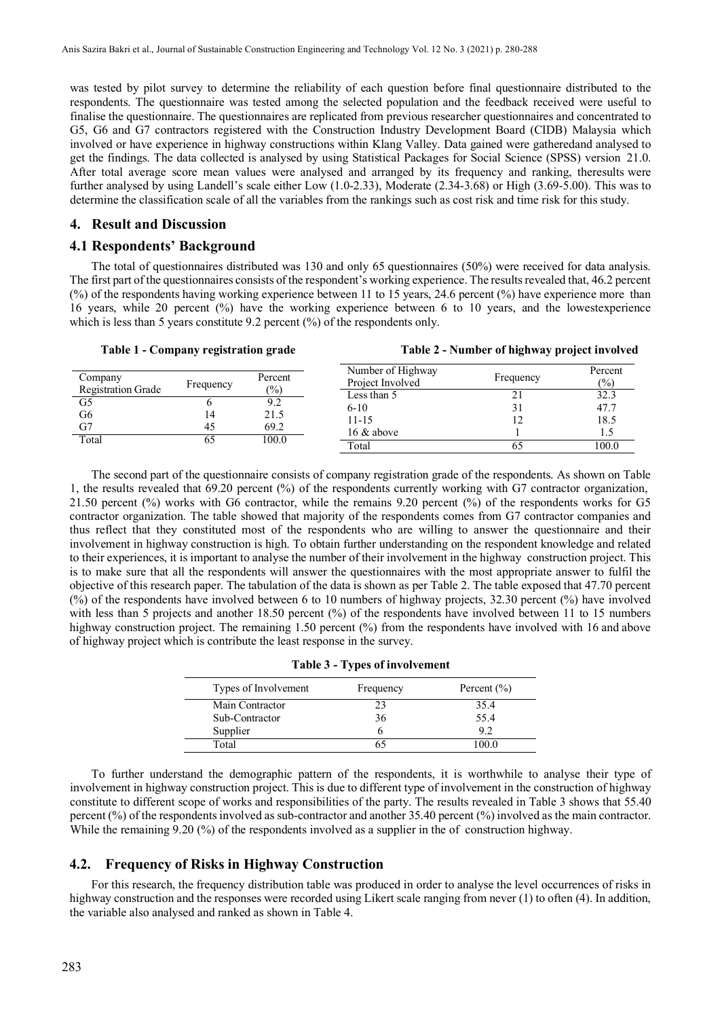was tested by pilot survey to determine the reliability of each question before final questionnaire distributed to the respondents. The questionnaire was tested among the selected population and the feedback received were useful to finalise the questionnaire. The questionnaires are replicated from previous researcher questionnaires and concentrated to G5, G6 and G7 contractors registered with the Construction Industry Development Board (CIDB) Malaysia which involved or have experience in highway constructions within Klang Valley. Data gained were gatheredand analysed to get the findings. The data collected is analysed by using Statistical Packages for Social Science (SPSS) version 21.0. After total average score mean values were analysed and arranged by its frequency and ranking, theresults were further analysed by using Landell's scale either Low (1.0-2.33), Moderate (2.34-3.68) or High (3.69-5.00). This was to determine the classification scale of all the variables from the rankings such as cost risk and time risk for this study.

#### **4. Result and Discussion**

#### **4.1 Respondents' Background**

The total of questionnaires distributed was 130 and only 65 questionnaires (50%) were received for data analysis. The first part of the questionnaires consists of the respondent's working experience. The results revealed that, 46.2 percent (%) of the respondents having working experience between 11 to 15 years, 24.6 percent (%) have experience more than 16 years, while 20 percent (%) have the working experience between 6 to 10 years, and the lowestexperience which is less than 5 years constitute 9.2 percent (%) of the respondents only.

|  | Table 1 - Company registration grade |  |
|--|--------------------------------------|--|
|  |                                      |  |

**Table 1 - Company registration grade Table 2 - Number of highway project involved**

| Company<br><b>Registration Grade</b> | Frequency | Percent<br>(%) | Number of Highway<br>Project Involved | Frequency | Percent<br>$\frac{(0)}{0}$ |
|--------------------------------------|-----------|----------------|---------------------------------------|-----------|----------------------------|
|                                      |           |                | Less than 5                           |           | 32.3                       |
| G5                                   |           | 9.2            | $6 - 10$                              |           | 47.7                       |
| G6                                   | 14        | 21.5           | $11 - 15$                             |           | 18.5                       |
| G7                                   | 45        | 69.2           | 16 & above                            |           |                            |
| Total                                | 00        | 100.0          | Total                                 | O.        | 100.0                      |

The second part of the questionnaire consists of company registration grade of the respondents. As shown on Table 1, the results revealed that 69.20 percent (%) of the respondents currently working with G7 contractor organization, 21.50 percent (%) works with G6 contractor, while the remains 9.20 percent (%) of the respondents works for G5 contractor organization. The table showed that majority of the respondents comes from G7 contractor companies and thus reflect that they constituted most of the respondents who are willing to answer the questionnaire and their involvement in highway construction is high. To obtain further understanding on the respondent knowledge and related to their experiences, it is important to analyse the number of their involvement in the highway construction project. This is to make sure that all the respondents will answer the questionnaires with the most appropriate answer to fulfil the objective of this research paper. The tabulation of the data is shown as per Table 2. The table exposed that 47.70 percent (%) of the respondents have involved between 6 to 10 numbers of highway projects, 32.30 percent (%) have involved with less than 5 projects and another 18.50 percent (%) of the respondents have involved between 11 to 15 numbers highway construction project. The remaining 1.50 percent (%) from the respondents have involved with 16 and above of highway project which is contribute the least response in the survey.

|  |  |  |  |  | <b>Table 3 - Types of involvement</b> |
|--|--|--|--|--|---------------------------------------|
|--|--|--|--|--|---------------------------------------|

| Types of Involvement | Frequency | Percent $(\% )$ |
|----------------------|-----------|-----------------|
| Main Contractor      | 23        | 35.4            |
| Sub-Contractor       | 36        | 55.4            |
| Supplier             |           | 92              |
| Total                |           | 00 O            |

To further understand the demographic pattern of the respondents, it is worthwhile to analyse their type of involvement in highway construction project. This is due to different type of involvement in the construction of highway constitute to different scope of works and responsibilities of the party. The results revealed in Table 3 shows that 55.40 percent (%) of the respondents involved as sub-contractor and another 35.40 percent (%) involved as the main contractor. While the remaining 9.20 (%) of the respondents involved as a supplier in the of construction highway.

## **4.2. Frequency of Risks in Highway Construction**

For this research, the frequency distribution table was produced in order to analyse the level occurrences of risks in highway construction and the responses were recorded using Likert scale ranging from never (1) to often (4). In addition, the variable also analysed and ranked as shown in Table 4.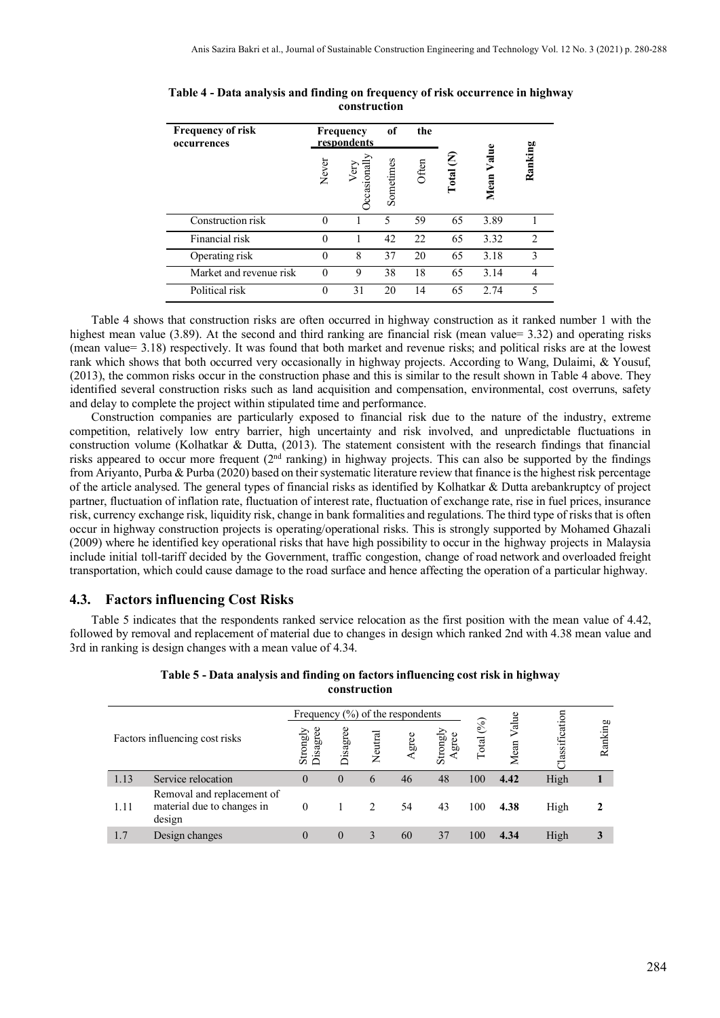| <b>Frequency of risk</b><br>occurrences |                                    | Frequency<br>respondents | of                       | the   |            |               |                          |
|-----------------------------------------|------------------------------------|--------------------------|--------------------------|-------|------------|---------------|--------------------------|
|                                         | Never<br>/ery<br><b>C</b> casional |                          | Sometimes                | Often | E<br>Total | Value<br>Mean | Ranking                  |
| Construction risk                       | 0                                  |                          | $\overline{\phantom{0}}$ | 59    | 65         | 3.89          |                          |
| Financial risk                          | $\theta$                           |                          | 42                       | 22    | 65         | 3.32          | $\mathcal{D}$            |
| Operating risk                          | $\theta$                           | 8                        | 37                       | 20    | 65         | 3.18          | $\mathcal{E}$            |
| Market and revenue risk                 | $\theta$                           | 9                        | 38                       | 18    | 65         | 3.14          |                          |
| Political risk                          | $\theta$                           | 31                       | 20                       | 14    | 65         | 2.74          | $\overline{\phantom{0}}$ |

|  | Table 4 - Data analysis and finding on frequency of risk occurrence in highway |  |
|--|--------------------------------------------------------------------------------|--|
|  | construction                                                                   |  |

Table 4 shows that construction risks are often occurred in highway construction as it ranked number 1 with the highest mean value (3.89). At the second and third ranking are financial risk (mean value= 3.32) and operating risks (mean value= 3.18) respectively. It was found that both market and revenue risks; and political risks are at the lowest rank which shows that both occurred very occasionally in highway projects. According to Wang, Dulaimi, & Yousuf, (2013), the common risks occur in the construction phase and this is similar to the result shown in Table 4 above. They identified several construction risks such as land acquisition and compensation, environmental, cost overruns, safety and delay to complete the project within stipulated time and performance.

Construction companies are particularly exposed to financial risk due to the nature of the industry, extreme competition, relatively low entry barrier, high uncertainty and risk involved, and unpredictable fluctuations in construction volume (Kolhatkar & Dutta, (2013). The statement consistent with the research findings that financial risks appeared to occur more frequent  $(2<sup>nd</sup> ranking)$  in highway projects. This can also be supported by the findings from Ariyanto, Purba & Purba (2020) based on their systematic literature review that finance is the highest risk percentage of the article analysed. The general types of financial risks as identified by Kolhatkar & Dutta arebankruptcy of project partner, fluctuation of inflation rate, fluctuation of interest rate, fluctuation of exchange rate, rise in fuel prices, insurance risk, currency exchange risk, liquidity risk, change in bank formalities and regulations. The third type of risks that is often occur in highway construction projects is operating/operational risks. This is strongly supported by Mohamed Ghazali (2009) where he identified key operational risks that have high possibility to occur in the highway projects in Malaysia include initial toll-tariff decided by the Government, traffic congestion, change of road network and overloaded freight transportation, which could cause damage to the road surface and hence affecting the operation of a particular highway.

# **4.3. Factors influencing Cost Risks**

Table 5 indicates that the respondents ranked service relocation as the first position with the mean value of 4.42, followed by removal and replacement of material due to changes in design which ranked 2nd with 4.38 mean value and 3rd in ranking is design changes with a mean value of 4.34.

|      |                                                                    | Frequency $(\%)$ of the respondents |          |         |       |                   |              |              |              |         |
|------|--------------------------------------------------------------------|-------------------------------------|----------|---------|-------|-------------------|--------------|--------------|--------------|---------|
|      | Factors influencing cost risks                                     | Disagree<br>Strongly                | Disagree | Neutral | Agree | Strongly<br>Agree | (%)<br>Total | Valu<br>Mean | assification | Ranking |
| 1.13 | Service relocation                                                 | $\theta$                            | $\theta$ | 6       | 46    | 48                | 100          | 4.42         | High         |         |
| 1.11 | Removal and replacement of<br>material due to changes in<br>design | $\theta$                            |          | 2       | 54    | 43                | 100          | 4.38         | High         |         |
|      | Design changes                                                     |                                     | $\theta$ |         | 60    | 37                | 100          | 4.34         | High         |         |

**Table 5 - Data analysis and finding on factors influencing cost risk in highway construction**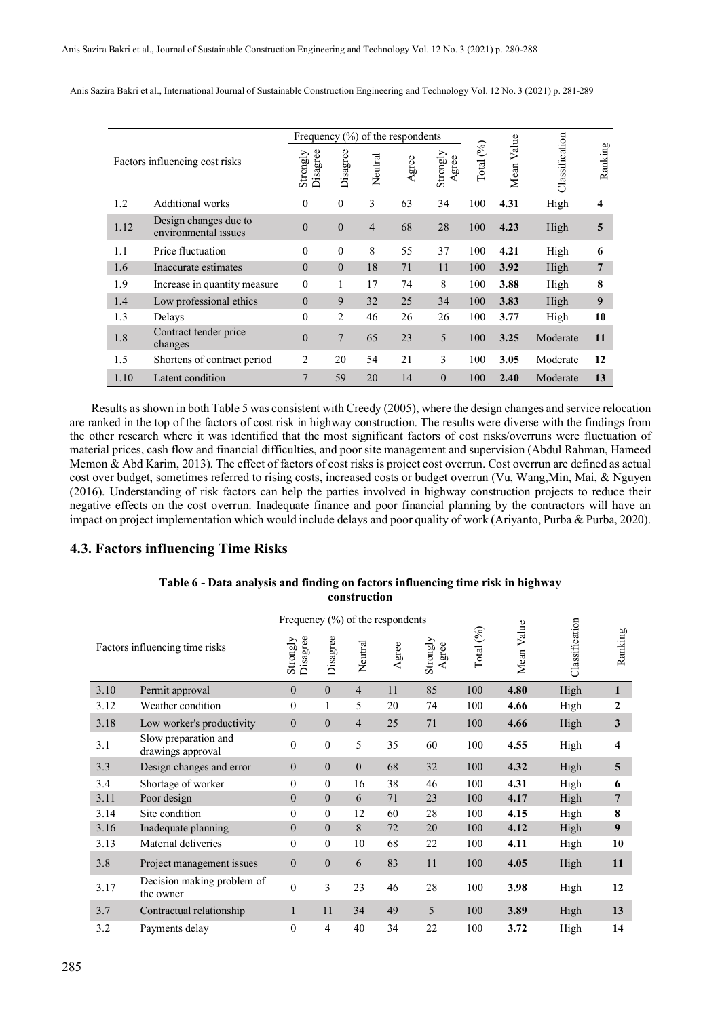| Factors influencing cost risks |                                               | Frequency $(\%)$ of the respondents |                |                |      |                   |                        |               |                       |         |
|--------------------------------|-----------------------------------------------|-------------------------------------|----------------|----------------|------|-------------------|------------------------|---------------|-----------------------|---------|
|                                |                                               | Disagree<br>Strongly                | Disagree       | Neutral        | gree | Strongly<br>Agree | $\mathscr{E}$<br>Total | Value<br>Mean | <b>Classification</b> | Ranking |
| 1.2                            | Additional works                              | $\theta$                            | $\theta$       | 3              | 63   | 34                | 100                    | 4.31          | High                  | 4       |
| 1.12                           | Design changes due to<br>environmental issues | $\theta$                            | $\theta$       | $\overline{4}$ | 68   | 28                | 100                    | 4.23          | High                  | 5       |
| 1.1                            | Price fluctuation                             | $\theta$                            | $\theta$       | 8              | 55   | 37                | 100                    | 4.21          | High                  | 6       |
| 1.6                            | Inaccurate estimates                          | $\theta$                            | $\theta$       | 18             | 71   | 11                | 100                    | 3.92          | High                  | 7       |
| 1.9                            | Increase in quantity measure                  | $\mathbf{0}$                        | 1              | 17             | 74   | 8                 | 100                    | 3.88          | High                  | 8       |
| 1.4                            | Low professional ethics                       | $\theta$                            | 9              | 32             | 25   | 34                | 100                    | 3.83          | High                  | 9       |
| 1.3                            | Delays                                        | $\theta$                            | $\overline{2}$ | 46             | 26   | 26                | 100                    | 3.77          | High                  | 10      |
| 1.8                            | Contract tender price<br>changes              | $\theta$                            | $\overline{7}$ | 65             | 23   | 5                 | 100                    | 3.25          | Moderate              | 11      |
| 1.5                            | Shortens of contract period                   | $\overline{c}$                      | 20             | 54             | 21   | 3                 | 100                    | 3.05          | Moderate              | 12      |
| 1.10                           | Latent condition                              | $\overline{7}$                      | 59             | 20             | 14   | $\theta$          | 100                    | 2.40          | Moderate              | 13      |

Anis Sazira Bakri et al., International Journal of Sustainable Construction Engineering and Technology Vol. 12 No. 3 (2021) p. 281-289

Results as shown in both Table 5 was consistent with Creedy (2005), where the design changes and service relocation are ranked in the top of the factors of cost risk in highway construction. The results were diverse with the findings from the other research where it was identified that the most significant factors of cost risks/overruns were fluctuation of material prices, cash flow and financial difficulties, and poor site management and supervision (Abdul Rahman, Hameed Memon & Abd Karim, 2013). The effect of factors of cost risks is project cost overrun. Cost overrun are defined as actual cost over budget, sometimes referred to rising costs, increased costs or budget overrun (Vu, Wang,Min, Mai, & Nguyen (2016). Understanding of risk factors can help the parties involved in highway construction projects to reduce their negative effects on the cost overrun. Inadequate finance and poor financial planning by the contractors will have an impact on project implementation which would include delays and poor quality of work (Ariyanto, Purba & Purba, 2020).

# **4.3. Factors influencing Time Risks**

|      |                                           | Frequency $(\%)$ of the respondents                                                                                                                                                                                                                                                                                                                                                                                                   |              |                |           |                       |                    |               |                |                         |
|------|-------------------------------------------|---------------------------------------------------------------------------------------------------------------------------------------------------------------------------------------------------------------------------------------------------------------------------------------------------------------------------------------------------------------------------------------------------------------------------------------|--------------|----------------|-----------|-----------------------|--------------------|---------------|----------------|-------------------------|
|      | Factors influencing time risks            | Disagree<br>Strongly                                                                                                                                                                                                                                                                                                                                                                                                                  | Disagree     | Neutral        | gree<br>₹ | Strongly<br>gree<br>⋖ | Total $(^{9}_{0})$ | Value<br>Mean | Classification | Ranking                 |
| 3.10 | Permit approval                           | $\overline{0}$                                                                                                                                                                                                                                                                                                                                                                                                                        | $\Omega$     | 4              | 11        | 85                    | 100                | 4.80          | High           | $\mathbf{1}$            |
| 3.12 | Weather condition                         | $\mathbf{0}$                                                                                                                                                                                                                                                                                                                                                                                                                          | 1            | 5              | 20        | 74                    | 100                | 4.66          | High           | $\mathbf{2}$            |
| 3.18 | Low worker's productivity                 | $\theta$                                                                                                                                                                                                                                                                                                                                                                                                                              | $\mathbf{0}$ | $\overline{4}$ | 25        | 71                    | 100                | 4.66          | High           | 3                       |
| 3.1  | Slow preparation and<br>drawings approval | 5<br>$\mathbf{0}$<br>35<br>$\mathbf{0}$<br>$\theta$<br>$\Omega$<br>68<br>$\mathbf{0}$<br>38<br>0<br>$\mathbf{0}$<br>16<br>$\overline{0}$<br>$\mathbf{0}$<br>6<br>71<br>0<br>$\theta$<br>60<br>12<br>$\boldsymbol{0}$<br>$\mathbf{0}$<br>8<br>72<br>$\mathbf{0}$<br>$\mathbf{0}$<br>68<br>10<br>83<br>$\overline{0}$<br>$\overline{0}$<br>6<br>$\mathbf{0}$<br>3<br>23<br>46<br>11<br>49<br>1<br>34<br>$\overline{0}$<br>4<br>40<br>34 | 60           | 100            | 4.55      | High                  | 4                  |               |                |                         |
| 3.3  | Design changes and error                  |                                                                                                                                                                                                                                                                                                                                                                                                                                       |              |                |           | 32                    | 100                | 4.32          | High           | $\overline{\mathbf{5}}$ |
| 3.4  | Shortage of worker                        |                                                                                                                                                                                                                                                                                                                                                                                                                                       |              |                |           | 46                    | 100                | 4.31          | High           | 6                       |
| 3.11 | Poor design                               |                                                                                                                                                                                                                                                                                                                                                                                                                                       |              |                |           | 23                    | 100                | 4.17          | High           | $7\phantom{.0}$         |
| 3.14 | Site condition                            |                                                                                                                                                                                                                                                                                                                                                                                                                                       |              |                |           | 28                    | 100                | 4.15          | High           | 8                       |
| 3.16 | Inadequate planning                       |                                                                                                                                                                                                                                                                                                                                                                                                                                       |              |                |           | 20                    | 100                | 4.12          | High           | 9                       |
| 3.13 | Material deliveries                       |                                                                                                                                                                                                                                                                                                                                                                                                                                       |              |                |           | 22                    | 100                | 4.11          | High           | 10                      |
| 3.8  | Project management issues                 |                                                                                                                                                                                                                                                                                                                                                                                                                                       |              |                |           | 11                    | 100                | 4.05          | High           | 11                      |
| 3.17 | Decision making problem of<br>the owner   |                                                                                                                                                                                                                                                                                                                                                                                                                                       |              |                |           | 28                    | 100                | 3.98          | High           | 12                      |
| 3.7  | Contractual relationship                  |                                                                                                                                                                                                                                                                                                                                                                                                                                       |              |                |           | 5                     | 100                | 3.89          | High           | 13                      |
| 3.2  | Payments delay                            |                                                                                                                                                                                                                                                                                                                                                                                                                                       |              |                |           | 22                    | 100                | 3.72          | High           | 14                      |

**Table 6 - Data analysis and finding on factors influencing time risk in highway construction**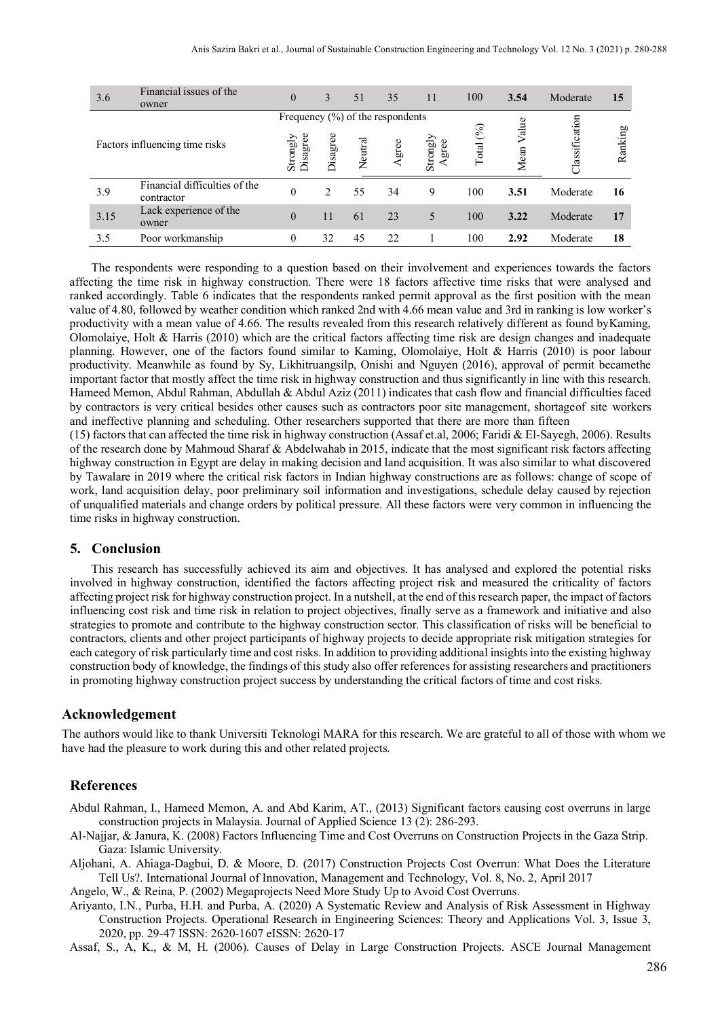| 3.6                            | Financial issues of the<br>owner            | $\overline{0}$                      | 3                           | 51      | 35    | 11                | 100            | 3.54          | Moderate       | 15      |
|--------------------------------|---------------------------------------------|-------------------------------------|-----------------------------|---------|-------|-------------------|----------------|---------------|----------------|---------|
|                                |                                             | Frequency $(\%)$ of the respondents |                             |         |       |                   |                |               |                |         |
| Factors influencing time risks |                                             | Strongly<br>Disagree                | Disagree                    | Neutral | Agree | Strongly<br>Agree | Total $(^{96}$ | Value<br>Mean | Classification | Ranking |
| 3.9                            | Financial difficulties of the<br>contractor | $\theta$                            | $\mathcal{D}_{\mathcal{L}}$ | 55      | 34    | 9                 | 100            | 3.51          | Moderate       | 16      |
| 3.15                           | Lack experience of the<br>owner             | $\overline{0}$                      | 11                          | 61      | 23    |                   | 100            | 3.22          | Moderate       | 17      |
| 3.5                            | Poor workmanship                            | 0                                   | 32                          | 45      | 22    |                   | 100            | 2.92          | Moderate       | 18      |

The respondents were responding to a question based on their involvement and experiences towards the factors affecting the time risk in highway construction. There were 18 factors affective time risks that were analysed and ranked accordingly. Table 6 indicates that the respondents ranked permit approval as the first position with the mean value of 4.80, followed by weather condition which ranked 2nd with 4.66 mean value and 3rd in ranking is low worker's productivity with a mean value of 4.66. The results revealed from this research relatively different as found byKaming, Olomolaiye, Holt & Harris (2010) which are the critical factors affecting time risk are design changes and inadequate planning. However, one of the factors found similar to Kaming, Olomolaiye, Holt & Harris (2010) is poor labour productivity. Meanwhile as found by Sy, Likhitruangsilp, Onishi and Nguyen (2016), approval of permit becamethe important factor that mostly affect the time risk in highway construction and thus significantly in line with this research. Hameed Memon, Abdul Rahman, Abdullah & Abdul Aziz (2011) indicates that cash flow and financial difficulties faced by contractors is very critical besides other causes such as contractors poor site management, shortageof site workers and ineffective planning and scheduling. Other researchers supported that there are more than fifteen

(15) factors that can affected the time risk in highway construction (Assaf et.al, 2006; Faridi & El-Sayegh, 2006). Results of the research done by Mahmoud Sharaf & Abdelwahab in 2015, indicate that the most significant risk factors affecting highway construction in Egypt are delay in making decision and land acquisition. It was also similar to what discovered by Tawalare in 2019 where the critical risk factors in Indian highway constructions are as follows: change of scope of work, land acquisition delay, poor preliminary soil information and investigations, schedule delay caused by rejection of unqualified materials and change orders by political pressure. All these factors were very common in influencing the time risks in highway construction.

#### **5. Conclusion**

This research has successfully achieved its aim and objectives. It has analysed and explored the potential risks involved in highway construction, identified the factors affecting project risk and measured the criticality of factors affecting project risk for highway construction project. In a nutshell, at the end of this research paper, the impact of factors influencing cost risk and time risk in relation to project objectives, finally serve as a framework and initiative and also strategies to promote and contribute to the highway construction sector. This classification of risks will be beneficial to contractors, clients and other project participants of highway projects to decide appropriate risk mitigation strategies for each category of risk particularly time and cost risks. In addition to providing additional insights into the existing highway construction body of knowledge, the findings of this study also offer references for assisting researchers and practitioners in promoting highway construction project success by understanding the critical factors of time and cost risks.

#### **Acknowledgement**

The authors would like to thank Universiti Teknologi MARA for this research. We are grateful to all of those with whom we have had the pleasure to work during this and other related projects.

# **References**

- Abdul Rahman, I., Hameed Memon, A. and Abd Karim, AT., (2013) Significant factors causing cost overruns in large construction projects in Malaysia. Journal of Applied Science 13 (2): 286-293.
- Al-Najjar, & Janura, K. (2008) Factors Influencing Time and Cost Overruns on Construction Projects in the Gaza Strip. Gaza: Islamic University.
- Aljohani, A. Ahiaga-Dagbui, D. & Moore, D. (2017) Construction Projects Cost Overrun: What Does the Literature Tell Us?. International Journal of Innovation, Management and Technology, Vol. 8, No. 2, April 2017

Angelo, W., & Reina, P. (2002) Megaprojects Need More Study Up to Avoid Cost Overruns.

Ariyanto, I.N., Purba, H.H. and Purba, A. (2020) A Systematic Review and Analysis of Risk Assessment in Highway Construction Projects. Operational Research in Engineering Sciences: Theory and Applications Vol. 3, Issue 3, 2020, pp. 29-47 ISSN: 2620-1607 eISSN: 2620-17

Assaf, S., A, K., & M, H. (2006). Causes of Delay in Large Construction Projects. ASCE Journal Management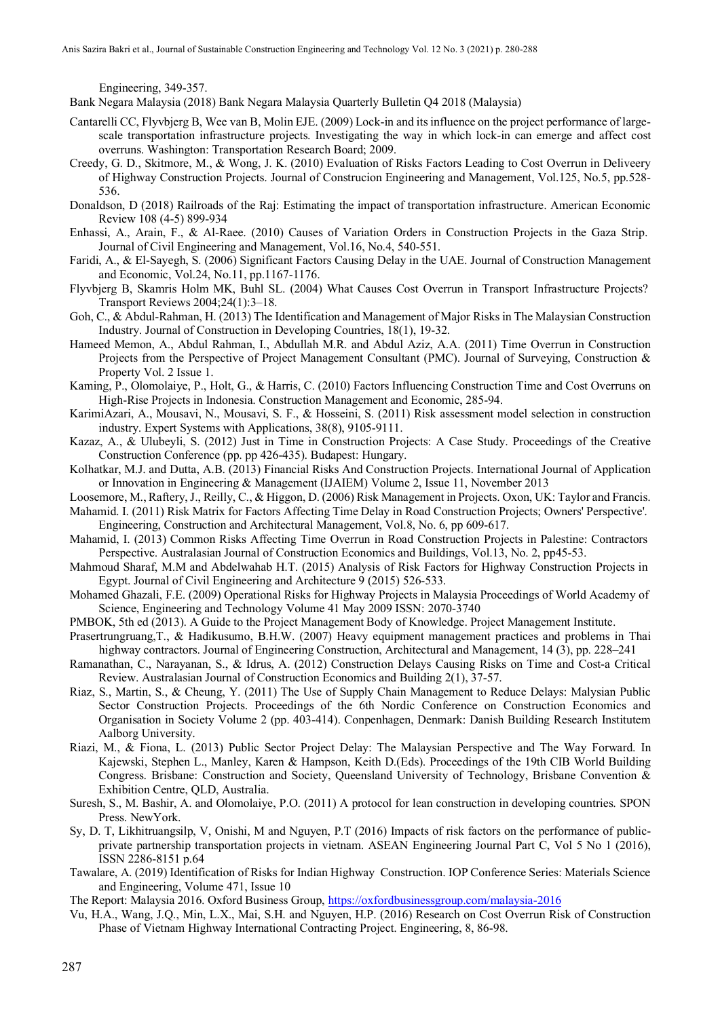Engineering, 349-357.

Bank Negara Malaysia (2018) Bank Negara Malaysia Quarterly Bulletin Q4 2018 (Malaysia)

- Cantarelli CC, Flyvbjerg B, Wee van B, Molin EJE. (2009) Lock-in and its influence on the project performance of largescale transportation infrastructure projects. Investigating the way in which lock-in can emerge and affect cost overruns. Washington: Transportation Research Board; 2009.
- Creedy, G. D., Skitmore, M., & Wong, J. K. (2010) Evaluation of Risks Factors Leading to Cost Overrun in Deliveery of Highway Construction Projects. Journal of Construcion Engineering and Management, Vol.125, No.5, pp.528- 536.
- Donaldson, D (2018) Railroads of the Raj: Estimating the impact of transportation infrastructure. American Economic Review 108 (4-5) 899-934
- Enhassi, A., Arain, F., & Al-Raee. (2010) Causes of Variation Orders in Construction Projects in the Gaza Strip. Journal of Civil Engineering and Management, Vol.16, No.4, 540-551.
- Faridi, A., & El-Sayegh, S. (2006) Significant Factors Causing Delay in the UAE. Journal of Construction Management and Economic, Vol.24, No.11, pp.1167-1176.
- Flyvbjerg B, Skamris Holm MK, Buhl SL. (2004) What Causes Cost Overrun in Transport Infrastructure Projects? Transport Reviews 2004;24(1):3–18.
- Goh, C., & Abdul-Rahman, H. (2013) The Identification and Management of Major Risks in The Malaysian Construction Industry. Journal of Construction in Developing Countries, 18(1), 19-32.
- Hameed Memon, A., Abdul Rahman, I., Abdullah M.R. and Abdul Aziz, A.A. (2011) Time Overrun in Construction Projects from the Perspective of Project Management Consultant (PMC). Journal of Surveying, Construction & Property Vol. 2 Issue 1.
- Kaming, P., Olomolaiye, P., Holt, G., & Harris, C. (2010) Factors Influencing Construction Time and Cost Overruns on High-Rise Projects in Indonesia. Construction Management and Economic, 285-94.
- KarimiAzari, A., Mousavi, N., Mousavi, S. F., & Hosseini, S. (2011) Risk assessment model selection in construction industry. Expert Systems with Applications, 38(8), 9105-9111.
- Kazaz, A., & Ulubeyli, S. (2012) Just in Time in Construction Projects: A Case Study. Proceedings of the Creative Construction Conference (pp. pp 426-435). Budapest: Hungary.
- Kolhatkar, M.J. and Dutta, A.B. (2013) Financial Risks And Construction Projects. International Journal of Application or Innovation in Engineering & Management (IJAIEM) Volume 2, Issue 11, November 2013
- Loosemore, M., Raftery, J., Reilly, C., & Higgon, D. (2006) Risk Management in Projects. Oxon, UK: Taylor and Francis.
- Mahamid. I. (2011) Risk Matrix for Factors Affecting Time Delay in Road Construction Projects; Owners' Perspective'. Engineering, Construction and Architectural Management, Vol.8, No. 6, pp 609-617.
- Mahamid, I. (2013) Common Risks Affecting Time Overrun in Road Construction Projects in Palestine: Contractors Perspective. Australasian Journal of Construction Economics and Buildings, Vol.13, No. 2, pp45-53.
- Mahmoud Sharaf, M.M and Abdelwahab H.T. (2015) Analysis of Risk Factors for Highway Construction Projects in Egypt. Journal of Civil Engineering and Architecture 9 (2015) 526-533.
- Mohamed Ghazali, F.E. (2009) Operational Risks for Highway Projects in Malaysia Proceedings of World Academy of Science, Engineering and Technology Volume 41 May 2009 ISSN: 2070-3740
- PMBOK, 5th ed (2013). A Guide to the Project Management Body of Knowledge. Project Management Institute.
- Prasertrungruang,T., & Hadikusumo, B.H.W. (2007) Heavy equipment management practices and problems in Thai highway contractors. Journal of Engineering Construction, Architectural and Management, 14 (3), pp. 228–241
- Ramanathan, C., Narayanan, S., & Idrus, A. (2012) Construction Delays Causing Risks on Time and Cost-a Critical Review. Australasian Journal of Construction Economics and Building 2(1), 37-57.
- Riaz, S., Martin, S., & Cheung, Y. (2011) The Use of Supply Chain Management to Reduce Delays: Malysian Public Sector Construction Projects. Proceedings of the 6th Nordic Conference on Construction Economics and Organisation in Society Volume 2 (pp. 403-414). Conpenhagen, Denmark: Danish Building Research Institutem Aalborg University.
- Riazi, M., & Fiona, L. (2013) Public Sector Project Delay: The Malaysian Perspective and The Way Forward. In Kajewski, Stephen L., Manley, Karen & Hampson, Keith D.(Eds). Proceedings of the 19th CIB World Building Congress. Brisbane: Construction and Society, Queensland University of Technology, Brisbane Convention & Exhibition Centre, QLD, Australia.
- Suresh, S., M. Bashir, A. and Olomolaiye, P.O. (2011) A protocol for lean construction in developing countries. SPON Press. NewYork.
- Sy, D. T, Likhitruangsilp, V, Onishi, M and Nguyen, P.T (2016) Impacts of risk factors on the performance of publicprivate partnership transportation projects in vietnam. ASEAN Engineering Journal Part C, Vol 5 No 1 (2016), ISSN 2286-8151 p.64
- Tawalare, A. (2019) Identification of Risks for Indian Highway Construction. IOP Conference Series: Materials Science and Engineering, Volume 471, Issue 10
- The Report: Malaysia 2016. Oxford Business Group, <https://oxfordbusinessgroup.com/malaysia-2016>
- Vu, H.A., Wang, J.Q., Min, L.X., Mai, S.H. and Nguyen, H.P. (2016) Research on Cost Overrun Risk of Construction Phase of Vietnam Highway International Contracting Project. Engineering, 8, 86-98.